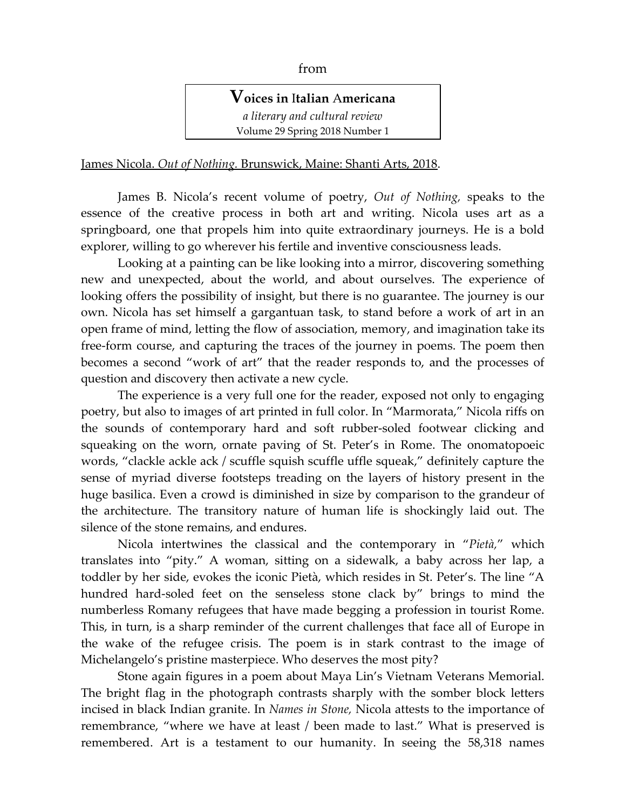## from

**Voices in** I**talian** A**mericana** *a literary and cultural review*  Volume 29 Spring 2018 Number 1

James Nicola. *Out of Nothing.* Brunswick, Maine: Shanti Arts, 2018.

James B. Nicola's recent volume of poetry, *Out of Nothing,* speaks to the essence of the creative process in both art and writing. Nicola uses art as a springboard, one that propels him into quite extraordinary journeys. He is a bold explorer, willing to go wherever his fertile and inventive consciousness leads.

Looking at a painting can be like looking into a mirror, discovering something new and unexpected, about the world, and about ourselves. The experience of looking offers the possibility of insight, but there is no guarantee. The journey is our own. Nicola has set himself a gargantuan task, to stand before a work of art in an open frame of mind, letting the flow of association, memory, and imagination take its free-form course, and capturing the traces of the journey in poems. The poem then becomes a second "work of art" that the reader responds to, and the processes of question and discovery then activate a new cycle.

The experience is a very full one for the reader, exposed not only to engaging poetry, but also to images of art printed in full color. In "Marmorata," Nicola riffs on the sounds of contemporary hard and soft rubber-soled footwear clicking and squeaking on the worn, ornate paving of St. Peter's in Rome. The onomatopoeic words, "clackle ackle ack / scuffle squish scuffle uffle squeak," definitely capture the sense of myriad diverse footsteps treading on the layers of history present in the huge basilica. Even a crowd is diminished in size by comparison to the grandeur of the architecture. The transitory nature of human life is shockingly laid out. The silence of the stone remains, and endures.

Nicola intertwines the classical and the contemporary in "*Pietà,*" which translates into "pity." A woman, sitting on a sidewalk, a baby across her lap, a toddler by her side, evokes the iconic Pietà, which resides in St. Peter's. The line "A hundred hard-soled feet on the senseless stone clack by" brings to mind the numberless Romany refugees that have made begging a profession in tourist Rome. This, in turn, is a sharp reminder of the current challenges that face all of Europe in the wake of the refugee crisis. The poem is in stark contrast to the image of Michelangelo's pristine masterpiece. Who deserves the most pity?

Stone again figures in a poem about Maya Lin's Vietnam Veterans Memorial. The bright flag in the photograph contrasts sharply with the somber block letters incised in black Indian granite. In *Names in Stone,* Nicola attests to the importance of remembrance, "where we have at least / been made to last." What is preserved is remembered. Art is a testament to our humanity. In seeing the 58,318 names